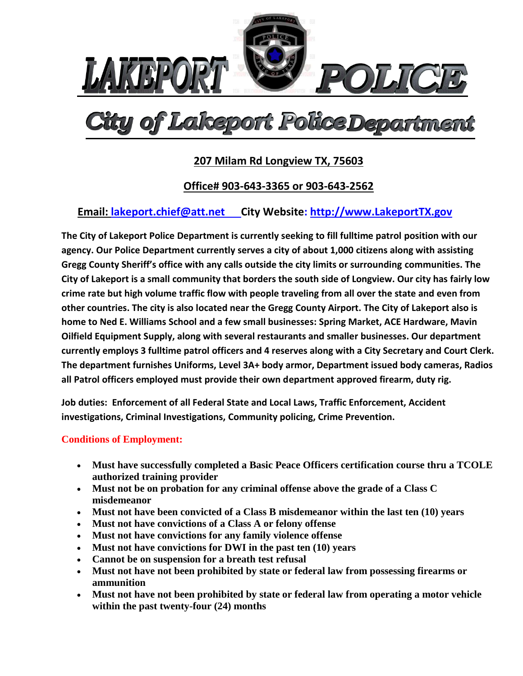

# of Lakeport Police Dep

# **207 Milam Rd Longview TX, 75603**

## **Office# 903-643-3365 or 903-643-2562**

## **Email: [lakeport.chief@att.net](mailto:lakeport.chief@att.net) City Website: http://www.LakeportTX.gov**

**The City of Lakeport Police Department is currently seeking to fill fulltime patrol position with our agency. Our Police Department currently serves a city of about 1,000 citizens along with assisting Gregg County Sheriff's office with any calls outside the city limits or surrounding communities. The City of Lakeport is a small community that borders the south side of Longview. Our city has fairly low crime rate but high volume traffic flow with people traveling from all over the state and even from other countries. The city is also located near the Gregg County Airport. The City of Lakeport also is home to Ned E. Williams School and a few small businesses: Spring Market, ACE Hardware, Mavin Oilfield Equipment Supply, along with several restaurants and smaller businesses. Our department currently employs 3 fulltime patrol officers and 4 reserves along with a City Secretary and Court Clerk. The department furnishes Uniforms, Level 3A+ body armor, Department issued body cameras, Radios all Patrol officers employed must provide their own department approved firearm, duty rig.** 

**Job duties: Enforcement of all Federal State and Local Laws, Traffic Enforcement, Accident investigations, Criminal Investigations, Community policing, Crime Prevention.**

#### **Conditions of Employment:**

- **Must have successfully completed a Basic Peace Officers certification course thru a TCOLE authorized training provider**
- **Must not be on probation for any criminal offense above the grade of a Class C misdemeanor**
- **Must not have been convicted of a Class B misdemeanor within the last ten (10) years**
- **Must not have convictions of a Class A or felony offense**
- **Must not have convictions for any family violence offense**
- **Must not have convictions for DWI in the past ten (10) years**
- **Cannot be on suspension for a breath test refusal**
- **Must not have not been prohibited by state or federal law from possessing firearms or ammunition**
- **Must not have not been prohibited by state or federal law from operating a motor vehicle within the past twenty-four (24) months**